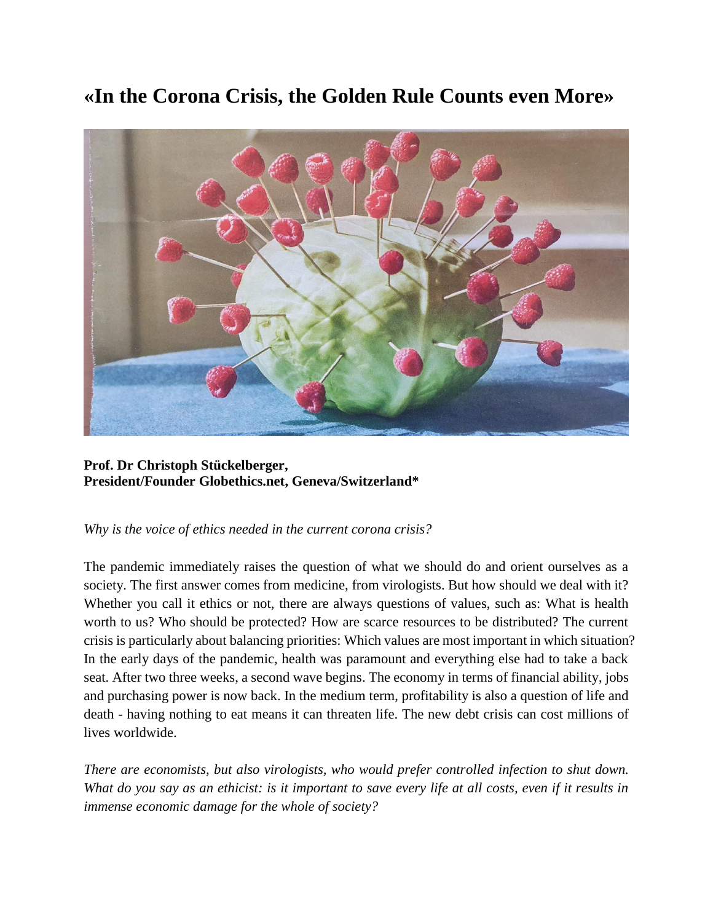# **«In the Corona Crisis, the Golden Rule Counts even More»**



**Prof. Dr Christoph Stückelberger, President/Founder Globethics.net, Geneva/Switzerland\***

### *Why is the voice of ethics needed in the current corona crisis?*

The pandemic immediately raises the question of what we should do and orient ourselves as a society. The first answer comes from medicine, from virologists. But how should we deal with it? Whether you call it ethics or not, there are always questions of values, such as: What is health worth to us? Who should be protected? How are scarce resources to be distributed? The current crisis is particularly about balancing priorities: Which values are most important in which situation? In the early days of the pandemic, health was paramount and everything else had to take a back seat. After two three weeks, a second wave begins. The economy in terms of financial ability, jobs and purchasing power is now back. In the medium term, profitability is also a question of life and death - having nothing to eat means it can threaten life. The new debt crisis can cost millions of lives worldwide.

*There are economists, but also virologists, who would prefer controlled infection to shut down. What do you say as an ethicist: is it important to save every life at all costs, even if it results in immense economic damage for the whole of society?*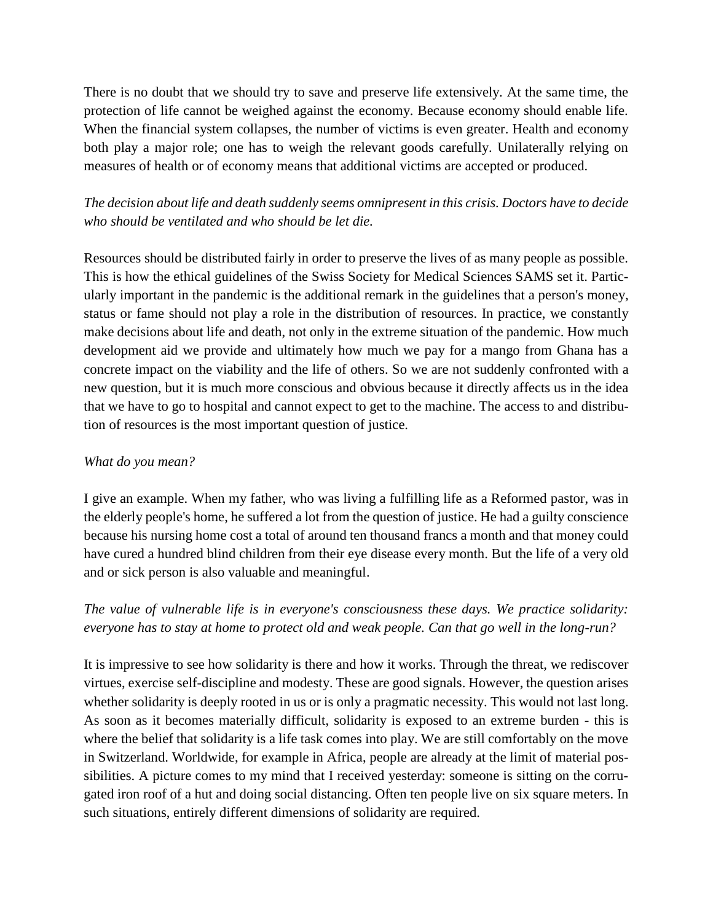There is no doubt that we should try to save and preserve life extensively. At the same time, the protection of life cannot be weighed against the economy. Because economy should enable life. When the financial system collapses, the number of victims is even greater. Health and economy both play a major role; one has to weigh the relevant goods carefully. Unilaterally relying on measures of health or of economy means that additional victims are accepted or produced.

*The decision about life and death suddenly seems omnipresent in this crisis. Doctors have to decide who should be ventilated and who should be let die.*

Resources should be distributed fairly in order to preserve the lives of as many people as possible. This is how the ethical guidelines of the Swiss Society for Medical Sciences SAMS set it. Particularly important in the pandemic is the additional remark in the guidelines that a person's money, status or fame should not play a role in the distribution of resources. In practice, we constantly make decisions about life and death, not only in the extreme situation of the pandemic. How much development aid we provide and ultimately how much we pay for a mango from Ghana has a concrete impact on the viability and the life of others. So we are not suddenly confronted with a new question, but it is much more conscious and obvious because it directly affects us in the idea that we have to go to hospital and cannot expect to get to the machine. The access to and distribution of resources is the most important question of justice.

#### *What do you mean?*

I give an example. When my father, who was living a fulfilling life as a Reformed pastor, was in the elderly people's home, he suffered a lot from the question of justice. He had a guilty conscience because his nursing home cost a total of around ten thousand francs a month and that money could have cured a hundred blind children from their eye disease every month. But the life of a very old and or sick person is also valuable and meaningful.

## *The value of vulnerable life is in everyone's consciousness these days. We practice solidarity: everyone has to stay at home to protect old and weak people. Can that go well in the long-run?*

It is impressive to see how solidarity is there and how it works. Through the threat, we rediscover virtues, exercise self-discipline and modesty. These are good signals. However, the question arises whether solidarity is deeply rooted in us or is only a pragmatic necessity. This would not last long. As soon as it becomes materially difficult, solidarity is exposed to an extreme burden - this is where the belief that solidarity is a life task comes into play. We are still comfortably on the move in Switzerland. Worldwide, for example in Africa, people are already at the limit of material possibilities. A picture comes to my mind that I received yesterday: someone is sitting on the corrugated iron roof of a hut and doing social distancing. Often ten people live on six square meters. In such situations, entirely different dimensions of solidarity are required.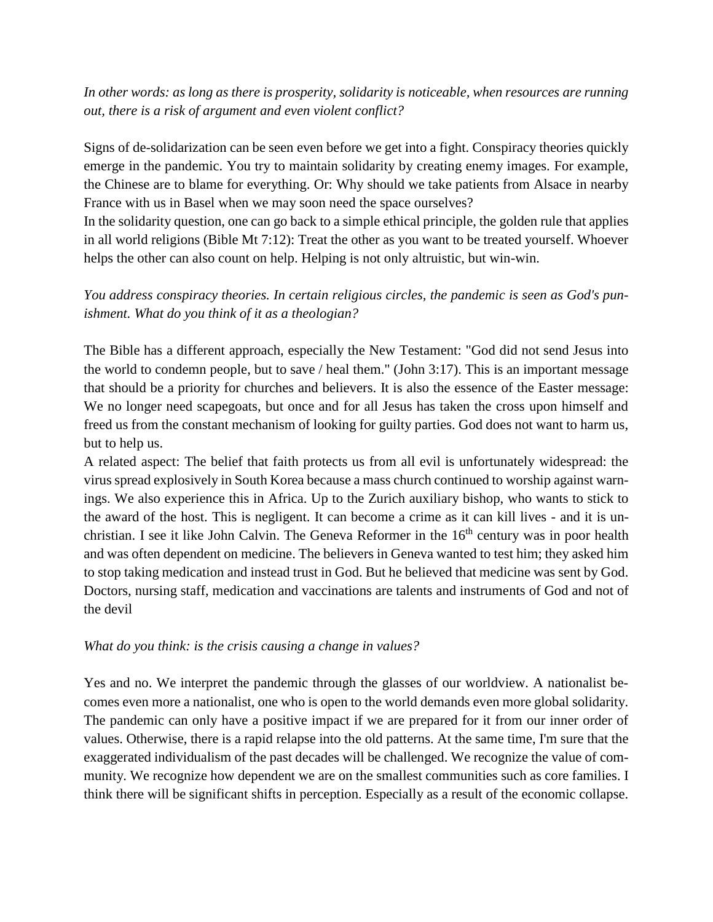*In other words: as long as there is prosperity, solidarity is noticeable, when resources are running out, there is a risk of argument and even violent conflict?*

Signs of de-solidarization can be seen even before we get into a fight. Conspiracy theories quickly emerge in the pandemic. You try to maintain solidarity by creating enemy images. For example, the Chinese are to blame for everything. Or: Why should we take patients from Alsace in nearby France with us in Basel when we may soon need the space ourselves?

In the solidarity question, one can go back to a simple ethical principle, the golden rule that applies in all world religions (Bible Mt 7:12): Treat the other as you want to be treated yourself. Whoever helps the other can also count on help. Helping is not only altruistic, but win-win.

*You address conspiracy theories. In certain religious circles, the pandemic is seen as God's punishment. What do you think of it as a theologian?*

The Bible has a different approach, especially the New Testament: "God did not send Jesus into the world to condemn people, but to save / heal them." (John 3:17). This is an important message that should be a priority for churches and believers. It is also the essence of the Easter message: We no longer need scapegoats, but once and for all Jesus has taken the cross upon himself and freed us from the constant mechanism of looking for guilty parties. God does not want to harm us, but to help us.

A related aspect: The belief that faith protects us from all evil is unfortunately widespread: the virus spread explosively in South Korea because a mass church continued to worship against warnings. We also experience this in Africa. Up to the Zurich auxiliary bishop, who wants to stick to the award of the host. This is negligent. It can become a crime as it can kill lives - and it is unchristian. I see it like John Calvin. The Geneva Reformer in the 16<sup>th</sup> century was in poor health and was often dependent on medicine. The believers in Geneva wanted to test him; they asked him to stop taking medication and instead trust in God. But he believed that medicine was sent by God. Doctors, nursing staff, medication and vaccinations are talents and instruments of God and not of the devil

#### *What do you think: is the crisis causing a change in values?*

Yes and no. We interpret the pandemic through the glasses of our worldview. A nationalist becomes even more a nationalist, one who is open to the world demands even more global solidarity. The pandemic can only have a positive impact if we are prepared for it from our inner order of values. Otherwise, there is a rapid relapse into the old patterns. At the same time, I'm sure that the exaggerated individualism of the past decades will be challenged. We recognize the value of community. We recognize how dependent we are on the smallest communities such as core families. I think there will be significant shifts in perception. Especially as a result of the economic collapse.